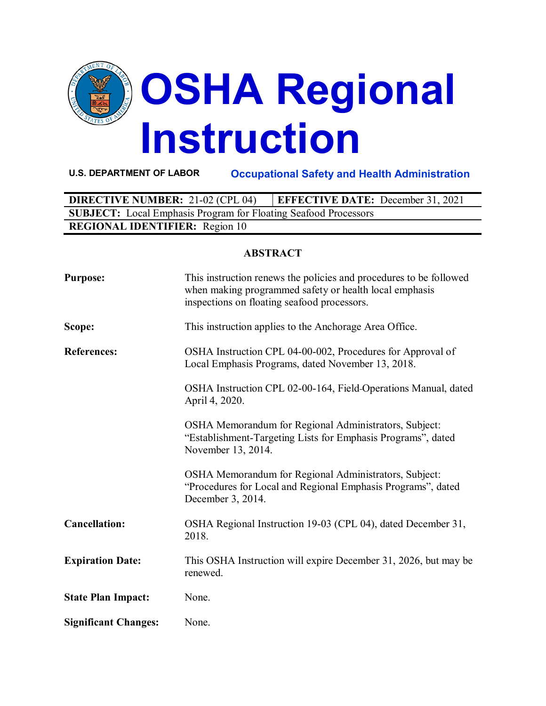

**U.S. DEPARTMENT OF LABOR Occupational Safety and Health Administration**

| <b>DIRECTIVE NUMBER: 21-02 (CPL 04)</b>                                | <b>EFFECTIVE DATE:</b> December 31, 2021 |  |  |  |
|------------------------------------------------------------------------|------------------------------------------|--|--|--|
| <b>SUBJECT:</b> Local Emphasis Program for Floating Seafood Processors |                                          |  |  |  |
| <b>REGIONAL IDENTIFIER:</b> Region 10                                  |                                          |  |  |  |

#### **ABSTRACT**

| <b>Purpose:</b>             | This instruction renews the policies and procedures to be followed<br>when making programmed safety or health local emphasis<br>inspections on floating seafood processors. |
|-----------------------------|-----------------------------------------------------------------------------------------------------------------------------------------------------------------------------|
| Scope:                      | This instruction applies to the Anchorage Area Office.                                                                                                                      |
| <b>References:</b>          | OSHA Instruction CPL 04-00-002, Procedures for Approval of<br>Local Emphasis Programs, dated November 13, 2018.                                                             |
|                             | OSHA Instruction CPL 02-00-164, Field-Operations Manual, dated<br>April 4, 2020.                                                                                            |
|                             | OSHA Memorandum for Regional Administrators, Subject:<br>"Establishment-Targeting Lists for Emphasis Programs", dated<br>November 13, 2014.                                 |
|                             | OSHA Memorandum for Regional Administrators, Subject:<br>"Procedures for Local and Regional Emphasis Programs", dated<br>December 3, 2014.                                  |
| <b>Cancellation:</b>        | OSHA Regional Instruction 19-03 (CPL 04), dated December 31,<br>2018.                                                                                                       |
| <b>Expiration Date:</b>     | This OSHA Instruction will expire December 31, 2026, but may be<br>renewed.                                                                                                 |
| <b>State Plan Impact:</b>   | None.                                                                                                                                                                       |
| <b>Significant Changes:</b> | None.                                                                                                                                                                       |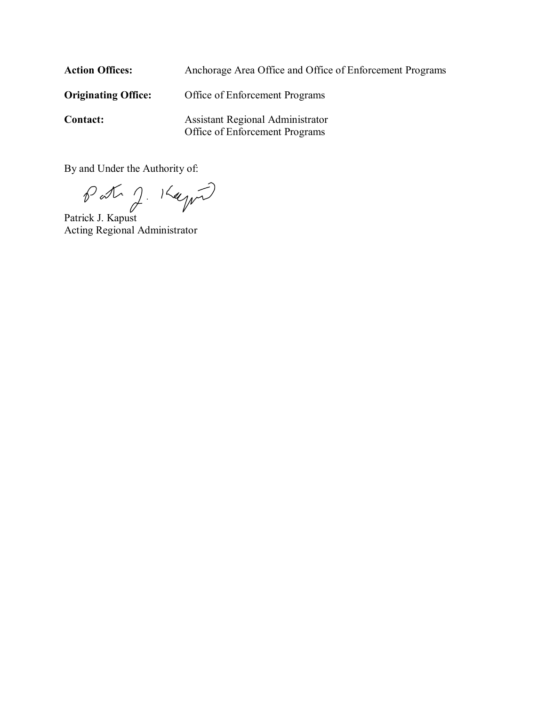| <b>Action Offices:</b>     | Anchorage Area Office and Office of Enforcement Programs           |
|----------------------------|--------------------------------------------------------------------|
| <b>Originating Office:</b> | Office of Enforcement Programs                                     |
| <b>Contact:</b>            | Assistant Regional Administrator<br>Office of Enforcement Programs |

By and Under the Authority of:

Patrick J. Kapust Acting Regional Administrator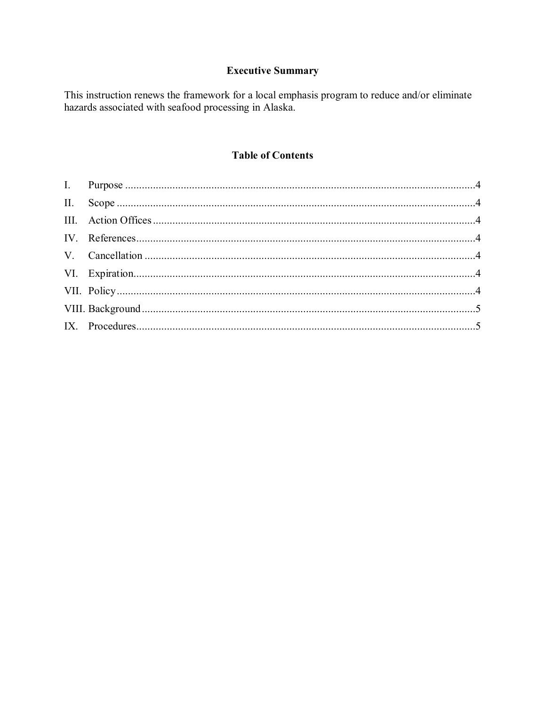# **Executive Summary**

This instruction renews the framework for a local emphasis program to reduce and/or eliminate hazards associated with seafood processing in Alaska.

# **Table of Contents**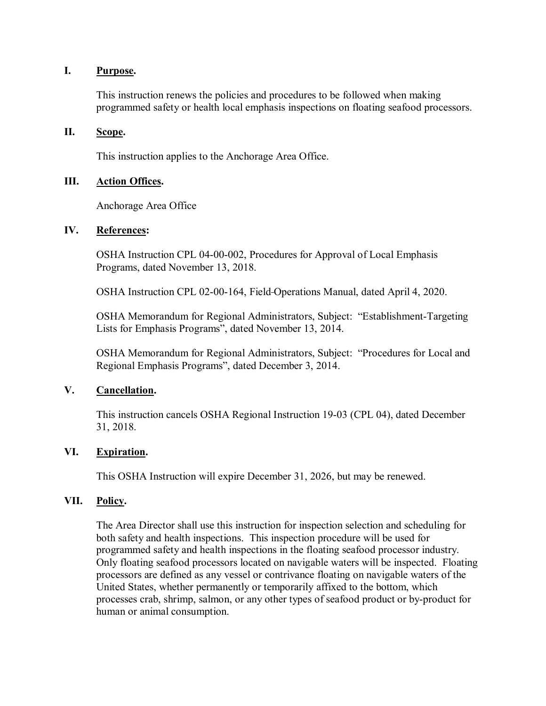#### <span id="page-3-0"></span>**I. Purpose.**

This instruction renews the policies and procedures to be followed when making programmed safety or health local emphasis inspections on floating seafood processors.

## <span id="page-3-1"></span>**II. Scope.**

This instruction applies to the Anchorage Area Office.

#### <span id="page-3-2"></span>**III. Action Offices.**

Anchorage Area Office

#### <span id="page-3-3"></span>**IV. References:**

OSHA Instruction CPL 04-00-002, Procedures for Approval of Local Emphasis Programs, dated November 13, 2018.

OSHA Instruction CPL 02-00-164, Field Operations Manual, dated April 4, 2020.

OSHA Memorandum for Regional Administrators, Subject: "Establishment-Targeting Lists for Emphasis Programs", dated November 13, 2014.

OSHA Memorandum for Regional Administrators, Subject: "Procedures for Local and Regional Emphasis Programs", dated December 3, 2014.

# <span id="page-3-4"></span>**V. Cancellation.**

This instruction cancels OSHA Regional Instruction 19-03 (CPL 04), dated December 31, 2018.

#### <span id="page-3-5"></span>**VI. Expiration.**

This OSHA Instruction will expire December 31, 2026, but may be renewed.

#### <span id="page-3-6"></span>**VII. Policy.**

The Area Director shall use this instruction for inspection selection and scheduling for both safety and health inspections. This inspection procedure will be used for programmed safety and health inspections in the floating seafood processor industry. Only floating seafood processors located on navigable waters will be inspected. Floating processors are defined as any vessel or contrivance floating on navigable waters of the United States, whether permanently or temporarily affixed to the bottom, which processes crab, shrimp, salmon, or any other types of seafood product or by-product for human or animal consumption.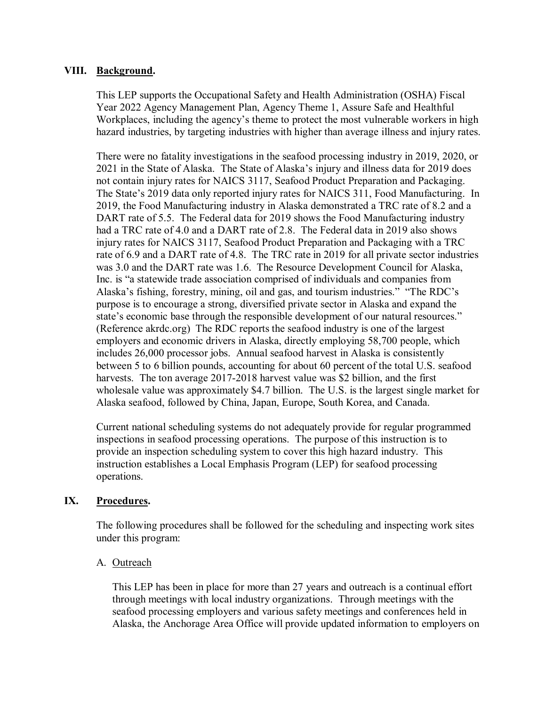## <span id="page-4-0"></span>**VIII. Background.**

This LEP supports the Occupational Safety and Health Administration (OSHA) Fiscal Year 2022 Agency Management Plan, Agency Theme 1, Assure Safe and Healthful Workplaces, including the agency's theme to protect the most vulnerable workers in high hazard industries, by targeting industries with higher than average illness and injury rates.

There were no fatality investigations in the seafood processing industry in 2019, 2020, or 2021 in the State of Alaska. The State of Alaska's injury and illness data for 2019 does not contain injury rates for NAICS 3117, Seafood Product Preparation and Packaging. The State's 2019 data only reported injury rates for NAICS 311, Food Manufacturing. In 2019, the Food Manufacturing industry in Alaska demonstrated a TRC rate of 8.2 and a DART rate of 5.5. The Federal data for 2019 shows the Food Manufacturing industry had a TRC rate of 4.0 and a DART rate of 2.8. The Federal data in 2019 also shows injury rates for NAICS 3117, Seafood Product Preparation and Packaging with a TRC rate of 6.9 and a DART rate of 4.8. The TRC rate in 2019 for all private sector industries was 3.0 and the DART rate was 1.6. The Resource Development Council for Alaska, Inc. is "a statewide trade association comprised of individuals and companies from Alaska's fishing, forestry, mining, oil and gas, and tourism industries." "The RDC's purpose is to encourage a strong, diversified private sector in Alaska and expand the state's economic base through the responsible development of our natural resources." (Reference akrdc.org) The RDC reports the seafood industry is one of the largest employers and economic drivers in Alaska, directly employing 58,700 people, which includes 26,000 processor jobs. Annual seafood harvest in Alaska is consistently between 5 to 6 billion pounds, accounting for about 60 percent of the total U.S. seafood harvests. The ton average 2017-2018 harvest value was \$2 billion, and the first wholesale value was approximately \$4.7 billion. The U.S. is the largest single market for Alaska seafood, followed by China, Japan, Europe, South Korea, and Canada.

Current national scheduling systems do not adequately provide for regular programmed inspections in seafood processing operations. The purpose of this instruction is to provide an inspection scheduling system to cover this high hazard industry. This instruction establishes a Local Emphasis Program (LEP) for seafood processing operations.

# <span id="page-4-1"></span>**IX. Procedures.**

The following procedures shall be followed for the scheduling and inspecting work sites under this program:

#### A. Outreach

This LEP has been in place for more than 27 years and outreach is a continual effort through meetings with local industry organizations. Through meetings with the seafood processing employers and various safety meetings and conferences held in Alaska, the Anchorage Area Office will provide updated information to employers on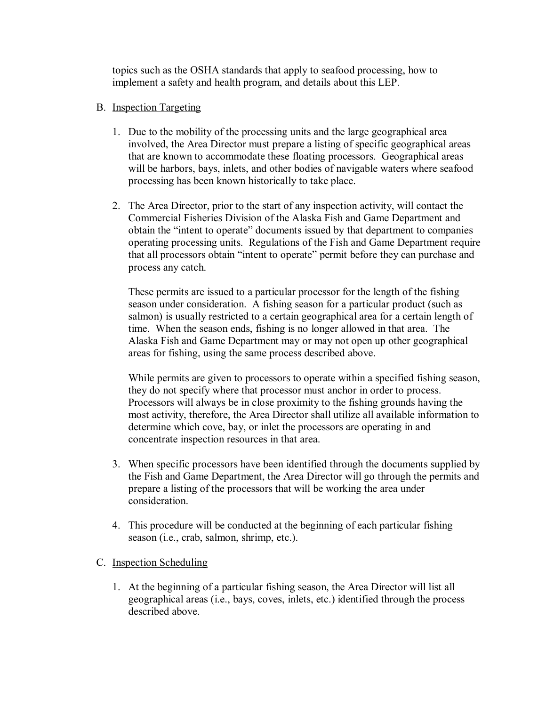topics such as the OSHA standards that apply to seafood processing, how to implement a safety and health program, and details about this LEP.

## B. Inspection Targeting

- 1. Due to the mobility of the processing units and the large geographical area involved, the Area Director must prepare a listing of specific geographical areas that are known to accommodate these floating processors. Geographical areas will be harbors, bays, inlets, and other bodies of navigable waters where seafood processing has been known historically to take place.
- 2. The Area Director, prior to the start of any inspection activity, will contact the Commercial Fisheries Division of the Alaska Fish and Game Department and obtain the "intent to operate" documents issued by that department to companies operating processing units. Regulations of the Fish and Game Department require that all processors obtain "intent to operate" permit before they can purchase and process any catch.

These permits are issued to a particular processor for the length of the fishing season under consideration. A fishing season for a particular product (such as salmon) is usually restricted to a certain geographical area for a certain length of time. When the season ends, fishing is no longer allowed in that area. The Alaska Fish and Game Department may or may not open up other geographical areas for fishing, using the same process described above.

While permits are given to processors to operate within a specified fishing season, they do not specify where that processor must anchor in order to process. Processors will always be in close proximity to the fishing grounds having the most activity, therefore, the Area Director shall utilize all available information to determine which cove, bay, or inlet the processors are operating in and concentrate inspection resources in that area.

- 3. When specific processors have been identified through the documents supplied by the Fish and Game Department, the Area Director will go through the permits and prepare a listing of the processors that will be working the area under consideration.
- 4. This procedure will be conducted at the beginning of each particular fishing season (i.e., crab, salmon, shrimp, etc.).
- C. Inspection Scheduling
	- 1. At the beginning of a particular fishing season, the Area Director will list all geographical areas (i.e., bays, coves, inlets, etc.) identified through the process described above.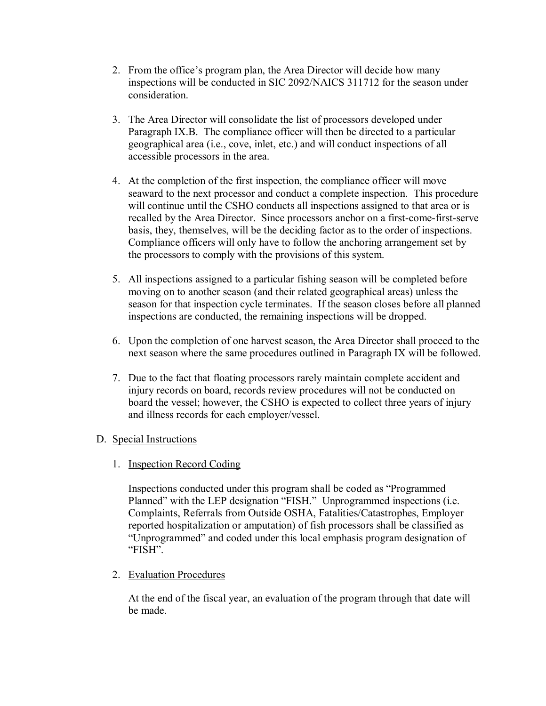- 2. From the office's program plan, the Area Director will decide how many inspections will be conducted in SIC 2092/NAICS 311712 for the season under consideration.
- 3. The Area Director will consolidate the list of processors developed under Paragraph IX.B. The compliance officer will then be directed to a particular geographical area (i.e., cove, inlet, etc.) and will conduct inspections of all accessible processors in the area.
- 4. At the completion of the first inspection, the compliance officer will move seaward to the next processor and conduct a complete inspection. This procedure will continue until the CSHO conducts all inspections assigned to that area or is recalled by the Area Director. Since processors anchor on a first-come-first-serve basis, they, themselves, will be the deciding factor as to the order of inspections. Compliance officers will only have to follow the anchoring arrangement set by the processors to comply with the provisions of this system.
- 5. All inspections assigned to a particular fishing season will be completed before moving on to another season (and their related geographical areas) unless the season for that inspection cycle terminates. If the season closes before all planned inspections are conducted, the remaining inspections will be dropped.
- 6. Upon the completion of one harvest season, the Area Director shall proceed to the next season where the same procedures outlined in Paragraph IX will be followed.
- 7. Due to the fact that floating processors rarely maintain complete accident and injury records on board, records review procedures will not be conducted on board the vessel; however, the CSHO is expected to collect three years of injury and illness records for each employer/vessel.

# D. Special Instructions

1. Inspection Record Coding

Inspections conducted under this program shall be coded as "Programmed Planned" with the LEP designation "FISH." Unprogrammed inspections (i.e. Complaints, Referrals from Outside OSHA, Fatalities/Catastrophes, Employer reported hospitalization or amputation) of fish processors shall be classified as "Unprogrammed" and coded under this local emphasis program designation of "FISH".

2. Evaluation Procedures

At the end of the fiscal year, an evaluation of the program through that date will be made.